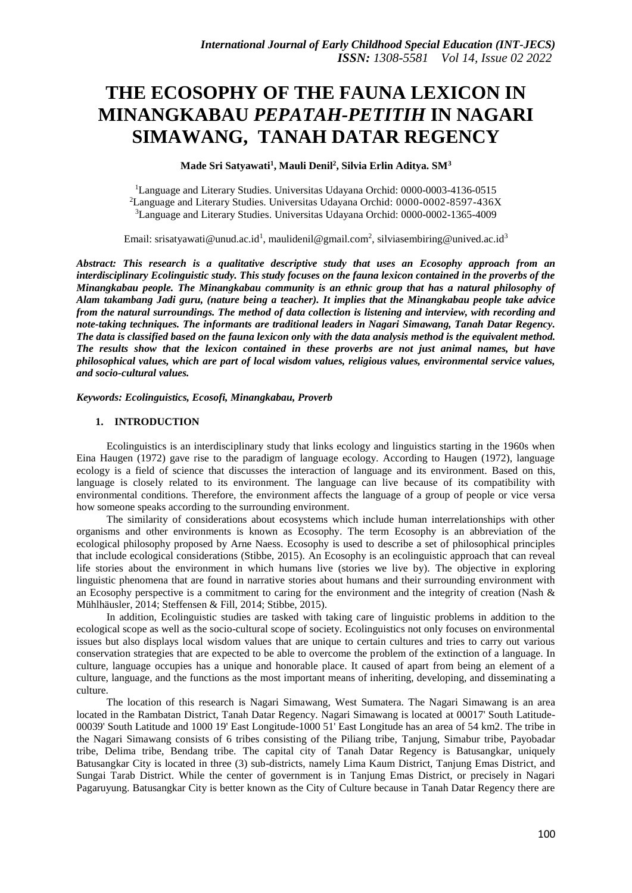# **THE ECOSOPHY OF THE FAUNA LEXICON IN MINANGKABAU** *PEPATAH-PETITIH* **IN NAGARI SIMAWANG, TANAH DATAR REGENCY**

**Made Sri Satyawati<sup>1</sup> , Mauli Denil<sup>2</sup> , Silvia Erlin Aditya. SM<sup>3</sup>**

<sup>1</sup>Language and Literary Studies. Universitas Udayana Orchid: 0000-0003-4136-0515 <sup>2</sup>Language and Literary Studies. Universitas Udayana Orchid: 0000-0002-8597-436X <sup>3</sup>Language and Literary Studies. Universitas Udayana Orchid: 0000-0002-1365-4009

Email: [srisatyawati@unud.ac.id](mailto:srisatyawati@unud.ac.id)<sup>1</sup>, [maulidenil@gmail.com](mailto:maulidenil@gmail.com)<sup>2</sup>, [silviasembiring@unived.ac.id](mailto:silviasembiring@unived.ac.id)<sup>3</sup>

*Abstract: This research is a qualitative descriptive study that uses an Ecosophy approach from an interdisciplinary Ecolinguistic study. This study focuses on the fauna lexicon contained in the proverbs of the Minangkabau people. The Minangkabau community is an ethnic group that has a natural philosophy of Alam takambang Jadi guru, (nature being a teacher). It implies that the Minangkabau people take advice from the natural surroundings. The method of data collection is listening and interview, with recording and note-taking techniques. The informants are traditional leaders in Nagari Simawang, Tanah Datar Regency. The data is classified based on the fauna lexicon only with the data analysis method is the equivalent method. The results show that the lexicon contained in these proverbs are not just animal names, but have philosophical values, which are part of local wisdom values, religious values, environmental service values, and socio-cultural values.*

*Keywords: Ecolinguistics, Ecosofi, Minangkabau, Proverb*

## **1. INTRODUCTION**

Ecolinguistics is an interdisciplinary study that links ecology and linguistics starting in the 1960s when Eina Haugen (1972) gave rise to the paradigm of language ecology. According to Haugen (1972), language ecology is a field of science that discusses the interaction of language and its environment. Based on this, language is closely related to its environment. The language can live because of its compatibility with environmental conditions. Therefore, the environment affects the language of a group of people or vice versa how someone speaks according to the surrounding environment.

The similarity of considerations about ecosystems which include human interrelationships with other organisms and other environments is known as Ecosophy. The term Ecosophy is an abbreviation of the ecological philosophy proposed by Arne Naess. Ecosophy is used to describe a set of philosophical principles that include ecological considerations (Stibbe, 2015). An Ecosophy is an ecolinguistic approach that can reveal life stories about the environment in which humans live (stories we live by). The objective in exploring linguistic phenomena that are found in narrative stories about humans and their surrounding environment with an Ecosophy perspective is a commitment to caring for the environment and the integrity of creation (Nash & Mühlhäusler, 2014; Steffensen & Fill, 2014; Stibbe, 2015).

In addition, Ecolinguistic studies are tasked with taking care of linguistic problems in addition to the ecological scope as well as the socio-cultural scope of society. Ecolinguistics not only focuses on environmental issues but also displays local wisdom values that are unique to certain cultures and tries to carry out various conservation strategies that are expected to be able to overcome the problem of the extinction of a language. In culture, language occupies has a unique and honorable place. It caused of apart from being an element of a culture, language, and the functions as the most important means of inheriting, developing, and disseminating a culture.

The location of this research is Nagari Simawang, West Sumatera. The Nagari Simawang is an area located in the Rambatan District, Tanah Datar Regency. Nagari Simawang is located at 00017' South Latitude-00039' South Latitude and 1000 19' East Longitude-1000 51' East Longitude has an area of 54 km2. The tribe in the Nagari Simawang consists of 6 tribes consisting of the Piliang tribe, Tanjung, Simabur tribe, Payobadar tribe, Delima tribe, Bendang tribe. The capital city of Tanah Datar Regency is Batusangkar, uniquely Batusangkar City is located in three (3) sub-districts, namely Lima Kaum District, Tanjung Emas District, and Sungai Tarab District. While the center of government is in Tanjung Emas District, or precisely in Nagari Pagaruyung. Batusangkar City is better known as the City of Culture because in Tanah Datar Regency there are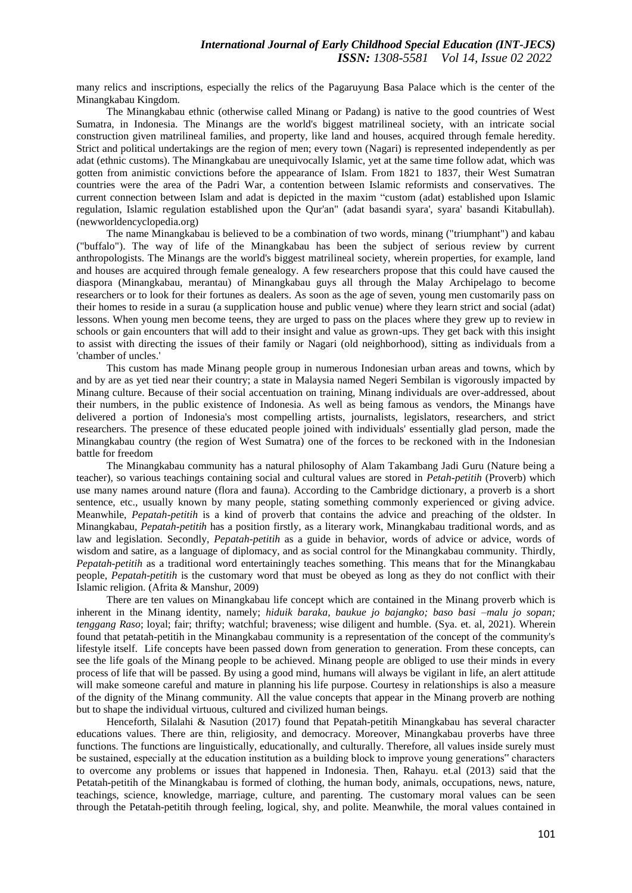many relics and inscriptions, especially the relics of the Pagaruyung Basa Palace which is the center of the Minangkabau Kingdom.

The Minangkabau ethnic (otherwise called Minang or Padang) is native to the good countries of West Sumatra, in Indonesia. The Minangs are the world's biggest matrilineal society, with an intricate social construction given matrilineal families, and property, like land and houses, acquired through female heredity. Strict and political undertakings are the region of men; every town (Nagari) is represented independently as per adat (ethnic customs). The Minangkabau are unequivocally Islamic, yet at the same time follow adat, which was gotten from animistic convictions before the appearance of Islam. From 1821 to 1837, their West Sumatran countries were the area of the Padri War, a contention between Islamic reformists and conservatives. The current connection between Islam and adat is depicted in the maxim "custom (adat) established upon Islamic regulation, Islamic regulation established upon the Qur'an" (adat basandi syara', syara' basandi Kitabullah). (newworldencyclopedia.org)

The name Minangkabau is believed to be a combination of two words, minang ("triumphant") and kabau ("buffalo"). The way of life of the Minangkabau has been the subject of serious review by current anthropologists. The Minangs are the world's biggest matrilineal society, wherein properties, for example, land and houses are acquired through female genealogy. A few researchers propose that this could have caused the diaspora (Minangkabau, merantau) of Minangkabau guys all through the Malay Archipelago to become researchers or to look for their fortunes as dealers. As soon as the age of seven, young men customarily pass on their homes to reside in a surau (a supplication house and public venue) where they learn strict and social (adat) lessons. When young men become teens, they are urged to pass on the places where they grew up to review in schools or gain encounters that will add to their insight and value as grown-ups. They get back with this insight to assist with directing the issues of their family or Nagari (old neighborhood), sitting as individuals from a 'chamber of uncles.'

This custom has made Minang people group in numerous Indonesian urban areas and towns, which by and by are as yet tied near their country; a state in Malaysia named Negeri Sembilan is vigorously impacted by Minang culture. Because of their social accentuation on training, Minang individuals are over-addressed, about their numbers, in the public existence of Indonesia. As well as being famous as vendors, the Minangs have delivered a portion of Indonesia's most compelling artists, journalists, legislators, researchers, and strict researchers. The presence of these educated people joined with individuals' essentially glad person, made the Minangkabau country (the region of West Sumatra) one of the forces to be reckoned with in the Indonesian battle for freedom

The Minangkabau community has a natural philosophy of Alam Takambang Jadi Guru (Nature being a teacher), so various teachings containing social and cultural values are stored in *Petah-petitih* (Proverb) which use many names around nature (flora and fauna). According to the Cambridge dictionary, a proverb is a short sentence, etc., usually known by many people, stating something commonly experienced or giving advice. Meanwhile, *Pepatah-petitih* is a kind of proverb that contains the advice and preaching of the oldster. In Minangkabau, *Pepatah-petitih* has a position firstly, as a literary work, Minangkabau traditional words, and as law and legislation. Secondly, *Pepatah-petitih* as a guide in behavior, words of advice or advice, words of wisdom and satire, as a language of diplomacy, and as social control for the Minangkabau community. Thirdly, *Pepatah-petitih* as a traditional word entertainingly teaches something. This means that for the Minangkabau people, *Pepatah-petitih* is the customary word that must be obeyed as long as they do not conflict with their Islamic religion. (Afrita & Manshur, 2009)

There are ten values on Minangkabau life concept which are contained in the Minang proverb which is inherent in the Minang identity, namely; *hiduik baraka, baukue jo bajangko; baso basi –malu jo sopan; tenggang Raso*; loyal; fair; thrifty; watchful; braveness; wise diligent and humble. (Sya. et. al, 2021). Wherein found that petatah-petitih in the Minangkabau community is a representation of the concept of the community's lifestyle itself. Life concepts have been passed down from generation to generation. From these concepts, can see the life goals of the Minang people to be achieved. Minang people are obliged to use their minds in every process of life that will be passed. By using a good mind, humans will always be vigilant in life, an alert attitude will make someone careful and mature in planning his life purpose. Courtesy in relationships is also a measure of the dignity of the Minang community. All the value concepts that appear in the Minang proverb are nothing but to shape the individual virtuous, cultured and civilized human beings.

Henceforth, Silalahi & Nasution (2017) found that Pepatah-petitih Minangkabau has several character educations values. There are thin, religiosity, and democracy. Moreover, Minangkabau proverbs have three functions. The functions are linguistically, educationally, and culturally. Therefore, all values inside surely must be sustained, especially at the education institution as a building block to improve young generations" characters to overcome any problems or issues that happened in Indonesia. Then, Rahayu. et.al (2013) said that the Petatah-petitih of the Minangkabau is formed of clothing, the human body, animals, occupations, news, nature, teachings, science, knowledge, marriage, culture, and parenting. The customary moral values can be seen through the Petatah-petitih through feeling, logical*,* shy, and polite. Meanwhile, the moral values contained in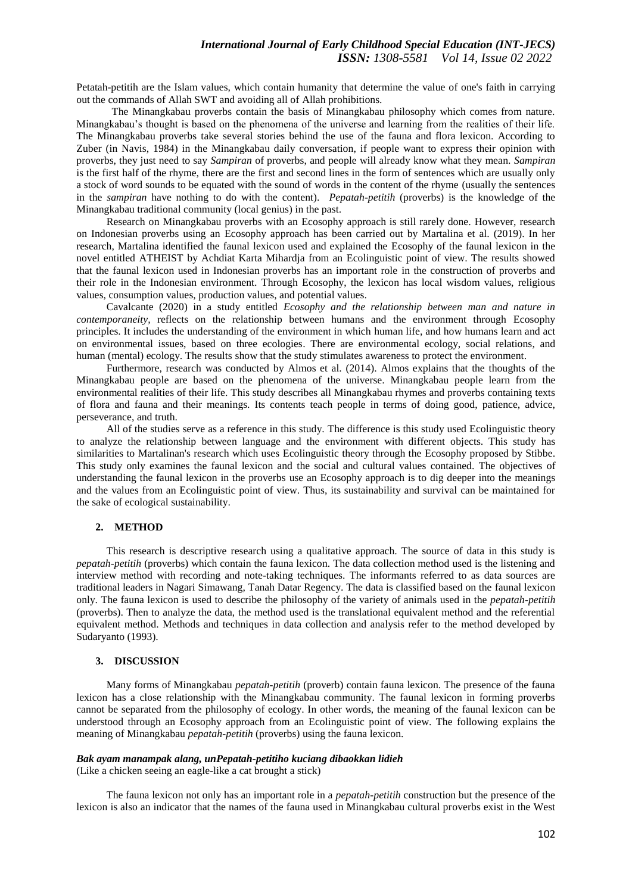# *International Journal of Early Childhood Special Education (INT-JECS) ISSN: 1308-5581 Vol 14, Issue 02 2022*

Petatah-petitih are the Islam values, which contain humanity that determine the value of one's faith in carrying out the commands of Allah SWT and avoiding all of Allah prohibitions.

The Minangkabau proverbs contain the basis of Minangkabau philosophy which comes from nature. Minangkabau's thought is based on the phenomena of the universe and learning from the realities of their life. The Minangkabau proverbs take several stories behind the use of the fauna and flora lexicon. According to Zuber (in Navis, 1984) in the Minangkabau daily conversation, if people want to express their opinion with proverbs, they just need to say *Sampiran* of proverbs, and people will already know what they mean. *Sampiran* is the first half of the rhyme, there are the first and second lines in the form of sentences which are usually only a stock of word sounds to be equated with the sound of words in the content of the rhyme (usually the sentences in the *sampiran* have nothing to do with the content). *Pepatah-petitih* (proverbs) is the knowledge of the Minangkabau traditional community (local genius) in the past.

Research on Minangkabau proverbs with an Ecosophy approach is still rarely done. However, research on Indonesian proverbs using an Ecosophy approach has been carried out by Martalina et al. (2019). In her research, Martalina identified the faunal lexicon used and explained the Ecosophy of the faunal lexicon in the novel entitled ATHEIST by Achdiat Karta Mihardja from an Ecolinguistic point of view. The results showed that the faunal lexicon used in Indonesian proverbs has an important role in the construction of proverbs and their role in the Indonesian environment. Through Ecosophy, the lexicon has local wisdom values, religious values, consumption values, production values, and potential values.

Cavalcante (2020) in a study entitled *Ecosophy and the relationship between man and nature in contemporaneity,* reflects on the relationship between humans and the environment through Ecosophy principles. It includes the understanding of the environment in which human life, and how humans learn and act on environmental issues, based on three ecologies. There are environmental ecology, social relations, and human (mental) ecology. The results show that the study stimulates awareness to protect the environment.

Furthermore, research was conducted by Almos et al. (2014). Almos explains that the thoughts of the Minangkabau people are based on the phenomena of the universe. Minangkabau people learn from the environmental realities of their life. This study describes all Minangkabau rhymes and proverbs containing texts of flora and fauna and their meanings. Its contents teach people in terms of doing good, patience, advice, perseverance, and truth.

All of the studies serve as a reference in this study. The difference is this study used Ecolinguistic theory to analyze the relationship between language and the environment with different objects. This study has similarities to Martalinan's research which uses Ecolinguistic theory through the Ecosophy proposed by Stibbe. This study only examines the faunal lexicon and the social and cultural values contained. The objectives of understanding the faunal lexicon in the proverbs use an Ecosophy approach is to dig deeper into the meanings and the values from an Ecolinguistic point of view. Thus, its sustainability and survival can be maintained for the sake of ecological sustainability.

### **2. METHOD**

This research is descriptive research using a qualitative approach. The source of data in this study is *pepatah-petitih* (proverbs) which contain the fauna lexicon. The data collection method used is the listening and interview method with recording and note-taking techniques. The informants referred to as data sources are traditional leaders in Nagari Simawang, Tanah Datar Regency. The data is classified based on the faunal lexicon only. The fauna lexicon is used to describe the philosophy of the variety of animals used in the *pepatah-petitih* (proverbs). Then to analyze the data, the method used is the translational equivalent method and the referential equivalent method. Methods and techniques in data collection and analysis refer to the method developed by Sudaryanto (1993).

### **3. DISCUSSION**

Many forms of Minangkabau *pepatah-petitih* (proverb) contain fauna lexicon. The presence of the fauna lexicon has a close relationship with the Minangkabau community. The faunal lexicon in forming proverbs cannot be separated from the philosophy of ecology. In other words, the meaning of the faunal lexicon can be understood through an Ecosophy approach from an Ecolinguistic point of view. The following explains the meaning of Minangkabau *pepatah-petitih* (proverbs) using the fauna lexicon.

## *Bak ayam manampak alang, unPepatah-petitiho kuciang dibaokkan lidieh*

(Like a chicken seeing an eagle-like a cat brought a stick)

The fauna lexicon not only has an important role in a *pepatah-petitih* construction but the presence of the lexicon is also an indicator that the names of the fauna used in Minangkabau cultural proverbs exist in the West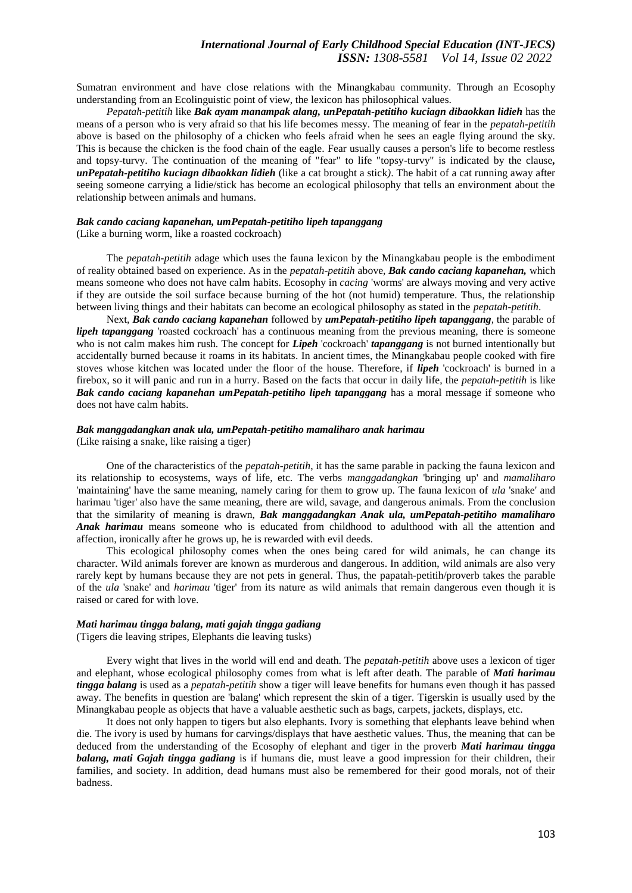Sumatran environment and have close relations with the Minangkabau community. Through an Ecosophy understanding from an Ecolinguistic point of view, the lexicon has philosophical values.

*Pepatah-petitih* like *Bak ayam manampak alang, unPepatah-petitiho kuciagn dibaokkan lidieh* has the means of a person who is very afraid so that his life becomes messy. The meaning of fear in the *pepatah-petitih* above is based on the philosophy of a chicken who feels afraid when he sees an eagle flying around the sky. This is because the chicken is the food chain of the eagle. Fear usually causes a person's life to become restless and topsy-turvy. The continuation of the meaning of "fear" to life "topsy-turvy" is indicated by the clause*, unPepatah-petitiho kuciagn dibaokkan lidieh* (like a cat brought a stick*)*. The habit of a cat running away after seeing someone carrying a lidie/stick has become an ecological philosophy that tells an environment about the relationship between animals and humans.

#### *Bak cando caciang kapanehan, umPepatah-petitiho lipeh tapanggang*

(Like a burning worm, like a roasted cockroach)

The *pepatah-petitih* adage which uses the fauna lexicon by the Minangkabau people is the embodiment of reality obtained based on experience. As in the *pepatah-petitih* above, *Bak cando caciang kapanehan,* which means someone who does not have calm habits. Ecosophy in *cacing* 'worms' are always moving and very active if they are outside the soil surface because burning of the hot (not humid) temperature. Thus, the relationship between living things and their habitats can become an ecological philosophy as stated in the *pepatah-petitih*.

Next, *Bak cando caciang kapanehan* followed by *umPepatah-petitiho lipeh tapanggang*, the parable of *lipeh tapanggang* 'roasted cockroach' has a continuous meaning from the previous meaning, there is someone who is not calm makes him rush. The concept for *Lipeh* 'cockroach' *tapanggang* is not burned intentionally but accidentally burned because it roams in its habitats. In ancient times, the Minangkabau people cooked with fire stoves whose kitchen was located under the floor of the house. Therefore, if *lipeh* 'cockroach' is burned in a firebox, so it will panic and run in a hurry. Based on the facts that occur in daily life, the *pepatah-petitih* is like *Bak cando caciang kapanehan umPepatah-petitiho lipeh tapanggang* has a moral message if someone who does not have calm habits.

# *Bak manggadangkan anak ula, umPepatah-petitiho mamaliharo anak harimau*

(Like raising a snake, like raising a tiger)

One of the characteristics of the *pepatah-petitih*, it has the same parable in packing the fauna lexicon and its relationship to ecosystems, ways of life, etc. The verbs *manggadangkan* 'bringing up' and *mamaliharo* 'maintaining' have the same meaning, namely caring for them to grow up. The fauna lexicon of *ula* 'snake' and harimau 'tiger' also have the same meaning, there are wild, savage, and dangerous animals. From the conclusion that the similarity of meaning is drawn, *Bak manggadangkan Anak ula, umPepatah-petitiho mamaliharo Anak harimau* means someone who is educated from childhood to adulthood with all the attention and affection, ironically after he grows up, he is rewarded with evil deeds.

This ecological philosophy comes when the ones being cared for wild animals, he can change its character. Wild animals forever are known as murderous and dangerous. In addition, wild animals are also very rarely kept by humans because they are not pets in general. Thus, the papatah-petitih/proverb takes the parable of the *ula* 'snake' and *harimau* 'tiger' from its nature as wild animals that remain dangerous even though it is raised or cared for with love.

# *Mati harimau tingga balang, mati gajah tingga gadiang*

(Tigers die leaving stripes, Elephants die leaving tusks)

Every wight that lives in the world will end and death. The *pepatah-petitih* above uses a lexicon of tiger and elephant, whose ecological philosophy comes from what is left after death. The parable of *Mati harimau tingga balang* is used as a *pepatah-petitih* show a tiger will leave benefits for humans even though it has passed away. The benefits in question are 'balang' which represent the skin of a tiger. Tigerskin is usually used by the Minangkabau people as objects that have a valuable aesthetic such as bags, carpets, jackets, displays, etc.

It does not only happen to tigers but also elephants. Ivory is something that elephants leave behind when die. The ivory is used by humans for carvings/displays that have aesthetic values. Thus, the meaning that can be deduced from the understanding of the Ecosophy of elephant and tiger in the proverb *Mati harimau tingga balang, mati Gajah tingga gadiang* is if humans die, must leave a good impression for their children, their families, and society. In addition, dead humans must also be remembered for their good morals, not of their badness.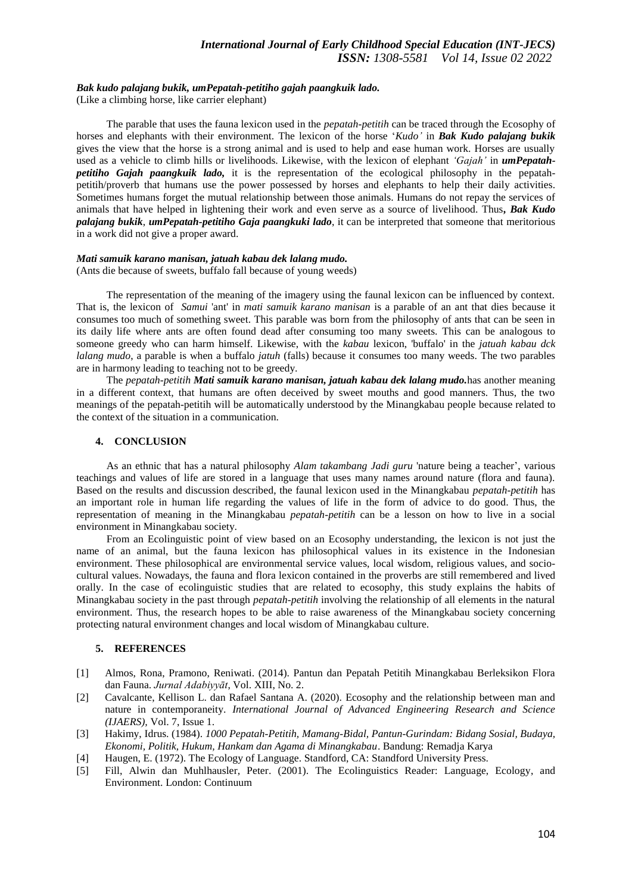# *Bak kudo palajang bukik, umPepatah-petitiho gajah paangkuik lado.*

(Like a climbing horse, like carrier elephant)

The parable that uses the fauna lexicon used in the *pepatah-petitih* can be traced through the Ecosophy of horses and elephants with their environment. The lexicon of the horse '*Kudo'* in *Bak Kudo palajang bukik* gives the view that the horse is a strong animal and is used to help and ease human work. Horses are usually used as a vehicle to climb hills or livelihoods. Likewise, with the lexicon of elephant *'Gajah'* in *umPepatahpetitiho Gajah paangkuik lado,* it is the representation of the ecological philosophy in the pepatahpetitih/proverb that humans use the power possessed by horses and elephants to help their daily activities. Sometimes humans forget the mutual relationship between those animals. Humans do not repay the services of animals that have helped in lightening their work and even serve as a source of livelihood. Thus*, Bak Kudo palajang bukik*, *umPepatah-petitiho Gaja paangkuki lado*, it can be interpreted that someone that meritorious in a work did not give a proper award.

# *Mati samuik karano manisan, jatuah kabau dek lalang mudo.*

(Ants die because of sweets, buffalo fall because of young weeds)

The representation of the meaning of the imagery using the faunal lexicon can be influenced by context. That is, the lexicon of *Samui* 'ant' in *mati samuik karano manisan* is a parable of an ant that dies because it consumes too much of something sweet. This parable was born from the philosophy of ants that can be seen in its daily life where ants are often found dead after consuming too many sweets. This can be analogous to someone greedy who can harm himself. Likewise, with the *kabau* lexicon, 'buffalo' in the *jatuah kabau dck lalang mudo*, a parable is when a buffalo *jatuh* (falls) because it consumes too many weeds. The two parables are in harmony leading to teaching not to be greedy.

The *pepatah-petitih Mati samuik karano manisan, jatuah kabau dek lalang mudo.*has another meaning in a different context, that humans are often deceived by sweet mouths and good manners. Thus, the two meanings of the pepatah-petitih will be automatically understood by the Minangkabau people because related to the context of the situation in a communication.

## **4. CONCLUSION**

As an ethnic that has a natural philosophy *Alam takambang Jadi guru* 'nature being a teacher', various teachings and values of life are stored in a language that uses many names around nature (flora and fauna). Based on the results and discussion described, the faunal lexicon used in the Minangkabau *pepatah-petitih* has an important role in human life regarding the values of life in the form of advice to do good. Thus, the representation of meaning in the Minangkabau *pepatah-petitih* can be a lesson on how to live in a social environment in Minangkabau society.

From an Ecolinguistic point of view based on an Ecosophy understanding, the lexicon is not just the name of an animal, but the fauna lexicon has philosophical values in its existence in the Indonesian environment. These philosophical are environmental service values, local wisdom, religious values, and sociocultural values. Nowadays, the fauna and flora lexicon contained in the proverbs are still remembered and lived orally. In the case of ecolinguistic studies that are related to ecosophy, this study explains the habits of Minangkabau society in the past through *pepatah-petitih* involving the relationship of all elements in the natural environment. Thus, the research hopes to be able to raise awareness of the Minangkabau society concerning protecting natural environment changes and local wisdom of Minangkabau culture.

# **5. REFERENCES**

- [1] Almos, Rona, Pramono, Reniwati. (2014). Pantun dan Pepatah Petitih Minangkabau Berleksikon Flora dan Fauna. *Jurnal Adabiyyāt*, Vol. XIII, No. 2.
- [2] Cavalcante, Kellison L. dan Rafael Santana A. (2020). Ecosophy and the relationship between man and nature in contemporaneity. *International Journal of Advanced Engineering Research and Science (IJAERS),* Vol. 7, Issue 1.
- [3] Hakimy, Idrus. (1984). *1000 Pepatah-Petitih, Mamang-Bidal, Pantun-Gurindam: Bidang Sosial, Budaya, Ekonomi, Politik, Hukum, Hankam dan Agama di Minangkabau*. Bandung: Remadja Karya
- [4] Haugen, E. (1972). The Ecology of Language. Standford, CA: Standford University Press.
- [5] Fill, Alwin dan Muhlhausler, Peter. (2001). The Ecolinguistics Reader: Language, Ecology, and Environment. London: Continuum